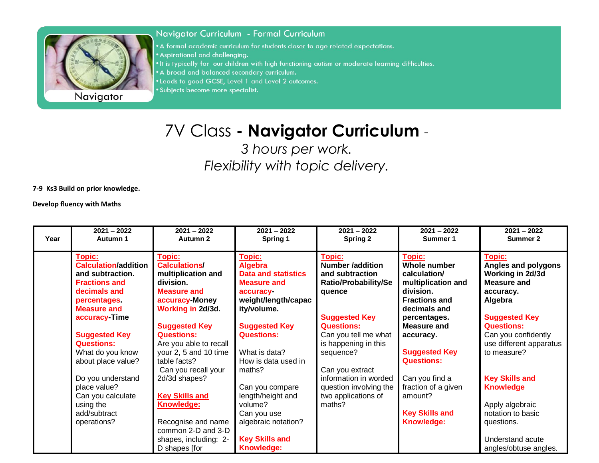

Navigator

## Navigator Curriculum - Formal Curriculum

• A formal academic curriculum for students closer to age related expectations. • Aspirational and challenging. . It is typically for our children with high functioning autism or moderate learning difficulties. . A broad and balanced secondary curriculum. . Leads to good GCSE, Level 1 and Level 2 outcomes.

· Subjects become more specialist.

## 7V Class **- Navigator Curriculum** *-*

*3 hours per work. Flexibility with topic delivery.*

**7-9 Ks3 Build on prior knowledge.**

**Develop fluency with Maths**

| Year | $2021 - 2022$<br>Autumn 1                                                                                                                                | $2021 - 2022$<br>Autumn 2                                                                                                                         | $2021 - 2022$<br>Spring 1                                                                                                             | $2021 - 2022$<br>Spring 2                                                                                             | $2021 - 2022$<br>Summer 1                                                                                                                | $2021 - 2022$<br>Summer 2                                                                                                                    |
|------|----------------------------------------------------------------------------------------------------------------------------------------------------------|---------------------------------------------------------------------------------------------------------------------------------------------------|---------------------------------------------------------------------------------------------------------------------------------------|-----------------------------------------------------------------------------------------------------------------------|------------------------------------------------------------------------------------------------------------------------------------------|----------------------------------------------------------------------------------------------------------------------------------------------|
|      | Topic:<br><b>Calculation/addition</b><br>and subtraction.<br><b>Fractions and</b><br>decimals and<br>percentages.<br><b>Measure and</b><br>accuracy Time | Topic:<br><b>Calculations/</b><br>multiplication and<br>division.<br><b>Measure and</b><br>accuracy-Money<br>Working in 2d/3d.                    | <u>Topic:</u><br><b>Algebra</b><br><b>Data and statistics</b><br><b>Measure and</b><br>accuracy<br>weight/length/capac<br>ity/volume. | Topic:<br><b>Number /addition</b><br>and subtraction<br><b>Ratio/Probability/Se</b><br>quence<br><b>Suggested Key</b> | Topic:<br><b>Whole number</b><br>calculation/<br>multiplication and<br>division.<br><b>Fractions and</b><br>decimals and<br>percentages. | Topic:<br>Angles and polygons<br>Working in 2d/3d<br><b>Measure and</b><br>accuracy.<br>Algebra<br><b>Suggested Key</b>                      |
|      | <b>Suggested Key</b><br><b>Questions:</b><br>What do you know<br>about place value?                                                                      | <b>Suggested Key</b><br><b>Questions:</b><br>Are you able to recall<br>your 2, 5 and 10 time<br>table facts?<br>Can you recall your               | <b>Suggested Key</b><br><b>Questions:</b><br>What is data?<br>How is data used in<br>maths?                                           | <b>Questions:</b><br>Can you tell me what<br>is happening in this<br>sequence?<br>Can you extract                     | <b>Measure and</b><br>accuracy.<br><b>Suggested Key</b><br><b>Questions:</b>                                                             | <b>Questions:</b><br>Can you confidently<br>use different apparatus<br>to measure?                                                           |
|      | Do you understand<br>place value?<br>Can you calculate<br>using the<br>add/subtract<br>operations?                                                       | 2d/3d shapes?<br><b>Key Skills and</b><br><b>Knowledge:</b><br>Recognise and name<br>common 2-D and 3-D<br>shapes, including: 2-<br>D shapes [for | Can you compare<br>length/height and<br>volume?<br>Can you use<br>algebraic notation?<br><b>Key Skills and</b><br><b>Knowledge:</b>   | information in worded<br>question involving the<br>two applications of<br>maths?                                      | Can you find a<br>fraction of a given<br>amount?<br><b>Key Skills and</b><br><b>Knowledge:</b>                                           | <b>Key Skills and</b><br><b>Knowledge</b><br>Apply algebraic<br>notation to basic<br>questions.<br>Understand acute<br>angles/obtuse angles. |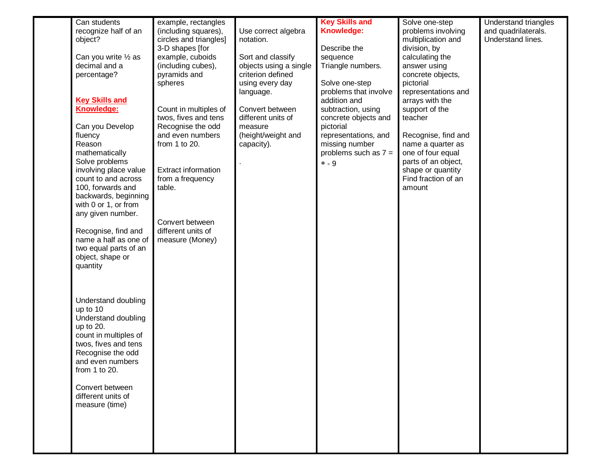| Can students                                 | example, rectangles                            |                        | <b>Key Skills and</b>                   | Solve one-step                           | Understand triangles |
|----------------------------------------------|------------------------------------------------|------------------------|-----------------------------------------|------------------------------------------|----------------------|
| recognize half of an                         | (including squares),                           | Use correct algebra    | Knowledge:                              | problems involving                       | and quadrilaterals.  |
| object?                                      | circles and triangles]                         | notation.              |                                         | multiplication and                       | Understand lines.    |
|                                              | 3-D shapes [for                                |                        | Describe the                            | division, by                             |                      |
| Can you write $\frac{1}{2}$ as               | example, cuboids                               | Sort and classify      | sequence                                | calculating the                          |                      |
| decimal and a                                | (including cubes),                             | objects using a single | Triangle numbers.                       | answer using                             |                      |
| percentage?                                  | pyramids and                                   | criterion defined      |                                         | concrete objects,                        |                      |
|                                              | spheres                                        | using every day        | Solve one-step<br>problems that involve | pictorial<br>representations and         |                      |
| <b>Key Skills and</b>                        |                                                | language.              | addition and                            | arrays with the                          |                      |
| Knowledge:                                   | Count in multiples of                          | Convert between        | subtraction, using                      | support of the                           |                      |
|                                              | twos, fives and tens                           | different units of     | concrete objects and                    | teacher                                  |                      |
| Can you Develop                              | Recognise the odd                              | measure                | pictorial                               |                                          |                      |
| fluency                                      | and even numbers                               | (height/weight and     | representations, and                    | Recognise, find and                      |                      |
| Reason                                       | from 1 to 20.                                  | capacity).             | missing number                          | name a quarter as                        |                      |
| mathematically                               |                                                |                        | problems such as $7 =$                  | one of four equal                        |                      |
| Solve problems                               |                                                |                        | $* - 9$                                 | parts of an object,                      |                      |
| involving place value<br>count to and across | <b>Extract information</b><br>from a frequency |                        |                                         | shape or quantity<br>Find fraction of an |                      |
| 100, forwards and                            | table.                                         |                        |                                         | amount                                   |                      |
| backwards, beginning                         |                                                |                        |                                         |                                          |                      |
| with 0 or 1, or from                         |                                                |                        |                                         |                                          |                      |
| any given number.                            |                                                |                        |                                         |                                          |                      |
|                                              | Convert between                                |                        |                                         |                                          |                      |
| Recognise, find and                          | different units of                             |                        |                                         |                                          |                      |
| name a half as one of                        | measure (Money)                                |                        |                                         |                                          |                      |
| two equal parts of an<br>object, shape or    |                                                |                        |                                         |                                          |                      |
| quantity                                     |                                                |                        |                                         |                                          |                      |
|                                              |                                                |                        |                                         |                                          |                      |
|                                              |                                                |                        |                                         |                                          |                      |
|                                              |                                                |                        |                                         |                                          |                      |
| Understand doubling                          |                                                |                        |                                         |                                          |                      |
| up to 10                                     |                                                |                        |                                         |                                          |                      |
| Understand doubling                          |                                                |                        |                                         |                                          |                      |
| up to 20.<br>count in multiples of           |                                                |                        |                                         |                                          |                      |
| twos, fives and tens                         |                                                |                        |                                         |                                          |                      |
| Recognise the odd                            |                                                |                        |                                         |                                          |                      |
| and even numbers                             |                                                |                        |                                         |                                          |                      |
| from 1 to 20.                                |                                                |                        |                                         |                                          |                      |
|                                              |                                                |                        |                                         |                                          |                      |
| Convert between                              |                                                |                        |                                         |                                          |                      |
| different units of<br>measure (time)         |                                                |                        |                                         |                                          |                      |
|                                              |                                                |                        |                                         |                                          |                      |
|                                              |                                                |                        |                                         |                                          |                      |
|                                              |                                                |                        |                                         |                                          |                      |
|                                              |                                                |                        |                                         |                                          |                      |
|                                              |                                                |                        |                                         |                                          |                      |